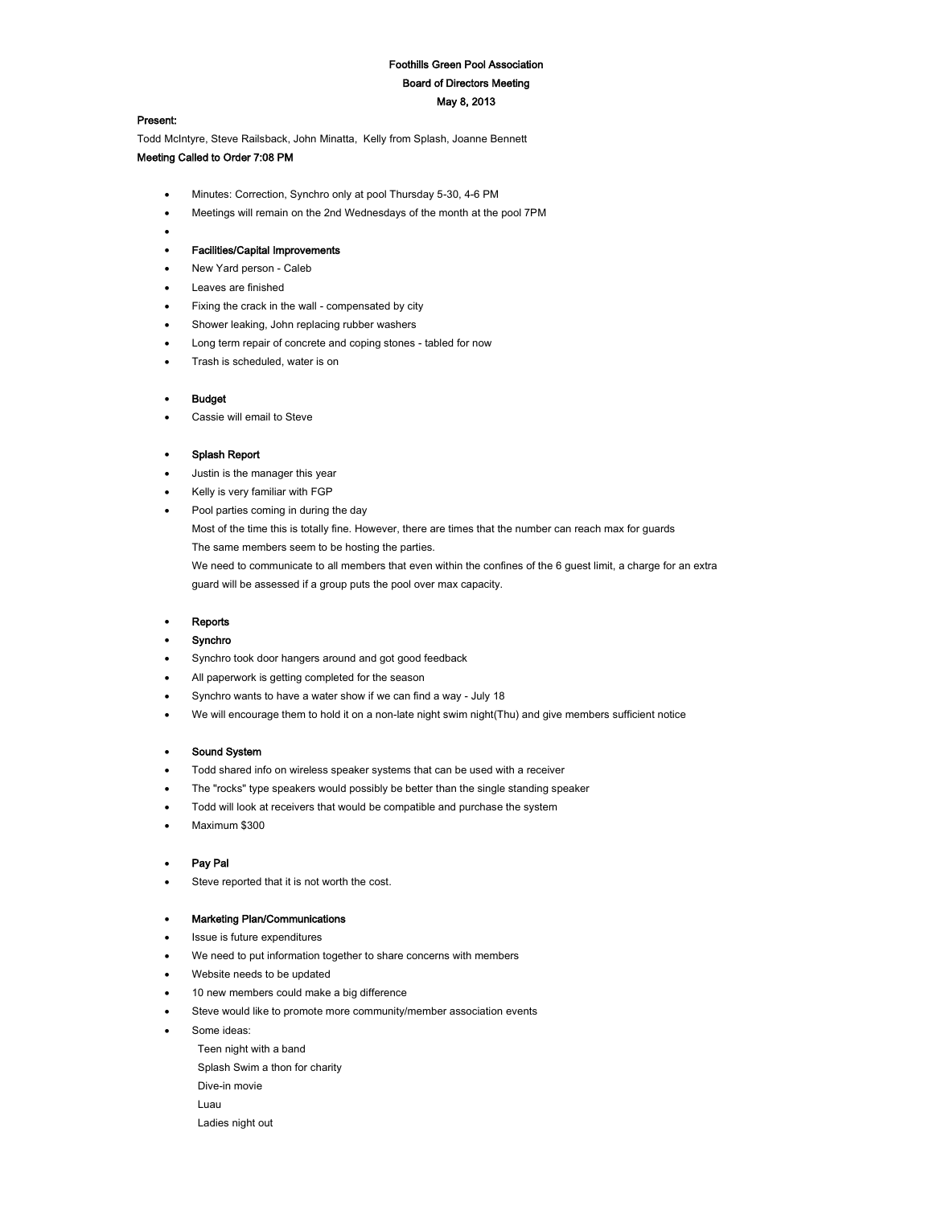# Foothills Green Pool Association Board of Directors Meeting May 8, 2013

#### Present:

 $\bullet$ 

Todd McIntyre, Steve Railsback, John Minatta, Kelly from Splash, Joanne Bennett Meeting Called to Order 7:08 PM

- Minutes: Correction, Synchro only at pool Thursday 5-30, 4-6 PM
- Meetings will remain on the 2nd Wednesdays of the month at the pool 7PM

## Facilities/Capital Improvements

- New Yard person Caleb
- Leaves are finished
- Fixing the crack in the wall compensated by city
- Shower leaking, John replacing rubber washers
- Long term repair of concrete and coping stones tabled for now
- Trash is scheduled, water is on

#### Budget

Cassie will email to Steve

## Splash Report

- Justin is the manager this year
- Kelly is very familiar with FGP
- Pool parties coming in during the day

Most of the time this is totally fine. However, there are times that the number can reach max for guards The same members seem to be hosting the parties.

We need to communicate to all members that even within the confines of the 6 guest limit, a charge for an extra guard will be assessed if a group puts the pool over max capacity.

#### Reports

## Synchro

- Synchro took door hangers around and got good feedback
- All paperwork is getting completed for the season
- Synchro wants to have a water show if we can find a way July 18
- We will encourage them to hold it on a non-late night swim night(Thu) and give members sufficient notice

## Sound System

- Todd shared info on wireless speaker systems that can be used with a receiver
- The "rocks" type speakers would possibly be better than the single standing speaker
- Todd will look at receivers that would be compatible and purchase the system
- Maximum \$300

## Pay Pal

Steve reported that it is not worth the cost.

#### Marketing Plan/Communications

- Issue is future expenditures
- We need to put information together to share concerns with members
- Website needs to be updated
- 10 new members could make a big difference
- Steve would like to promote more community/member association events
- Some ideas:
	- Teen night with a band
	- Splash Swim a thon for charity
	- Dive-in movie
	- Luau
	- Ladies night out